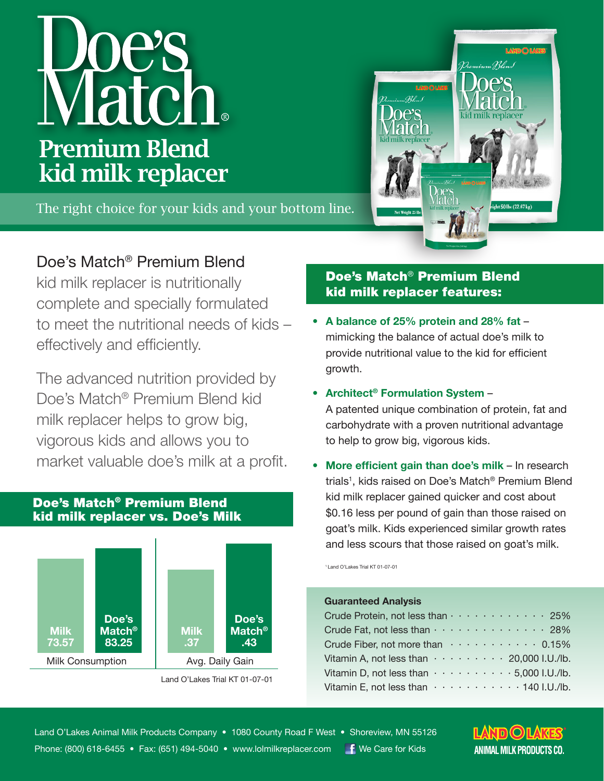# Vecial Premium Blend kid milk replacer

The right choice for your kids and your bottom line.

# Doe's Match® Premium Blend

kid milk replacer is nutritionally complete and specially formulated to meet the nutritional needs of kids – effectively and efficiently.

The advanced nutrition provided by Doe's Match® Premium Blend kid milk replacer helps to grow big, vigorous kids and allows you to market valuable doe's milk at a profit.

## Doe's Match® Premium Blend kid milk replacer vs. Doe's Milk



Land O'Lakes Trial KT 01-07-01

# Doe's Match® Premium Blend kid milk replacer features:

- **• A balance of 25% protein and 28% fat** mimicking the balance of actual doe's milk to provide nutritional value to the kid for efficient growth.
- **• Architect® Formulation System** –

A patented unique combination of protein, fat and carbohydrate with a proven nutritional advantage to help to grow big, vigorous kids.

**• More efficient gain than doe's milk** – In research trials<sup>1</sup>, kids raised on Doe's Match® Premium Blend kid milk replacer gained quicker and cost about \$0.16 less per pound of gain than those raised on goat's milk. Kids experienced similar growth rates and less scours that those raised on goat's milk.

1 Land O'Lakes Trial KT 01-07-01

#### **Guaranteed Analysis**

| Crude Protein, not less than 25%                                      |  |
|-----------------------------------------------------------------------|--|
| Crude Fat, not less than 28%                                          |  |
| Crude Fiber, not more than $\cdots \cdots \cdots \cdots 0.15\%$       |  |
| Vitamin A, not less than $\cdots \cdots \cdots 20,000$ I.U./lb.       |  |
| Vitamin D, not less than $\cdots \cdots \cdots \cdots 5,000$ I.U./lb. |  |
| Vitamin E, not less than $\cdots \cdots \cdots \cdots 140$ I.U./lb.   |  |



LAND O LAK